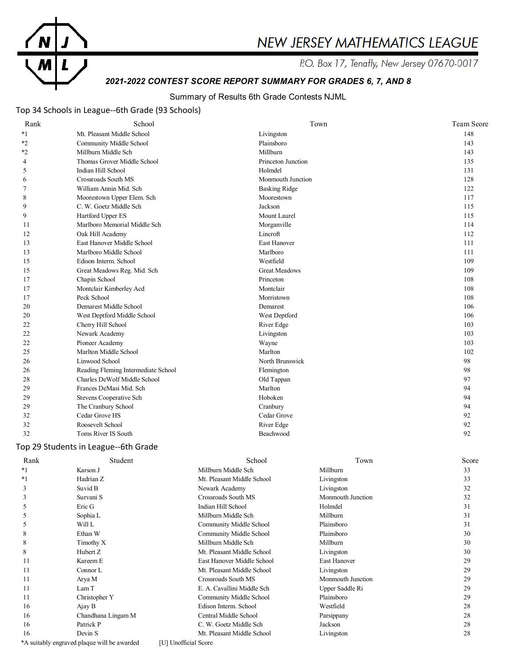

# NEW JERSEY MATHEMATICS LEAGUE

P.O. Box 17, Tenafly, New Jersey 07670-0017

## *2021-2022 CONTEST SCORE REPORT SUMMARY FOR GRADES 6, 7, AND 8*

## Summary of Results 6th Grade Contests NJML

## Top 34 Schools in League--6th Grade (93 Schools)

| Rank           | School                              | Town                 | <b>Team Score</b> |
|----------------|-------------------------------------|----------------------|-------------------|
| $*_{1}$        | Mt. Pleasant Middle School          | Livingston           | 148               |
| $*2$           | Community Middle School             | Plainsboro           | 143               |
| *2             | Millburn Middle Sch                 | Millburn             | 143               |
| 4              | Thomas Grover Middle School         | Princeton Junction   | 135               |
| 5              | Indian Hill School                  | Holmdel              | 131               |
| 6              | Crossroads South MS                 | Monmouth Junction    | 128               |
| $\overline{7}$ | William Annin Mid. Sch              | <b>Basking Ridge</b> | 122               |
| 8              | Moorestown Upper Elem. Sch          | Moorestown           | 117               |
| 9              | C. W. Goetz Middle Sch              | Jackson              | 115               |
| 9              | Hartford Upper ES                   | Mount Laurel         | 115               |
| 11             | Marlboro Memorial Middle Sch        | Morganville          | 114               |
| 12             | Oak Hill Academy                    | Lincroft             | 112               |
| 13             | East Hanover Middle School          | East Hanover         | 111               |
| 13             | Marlboro Middle School              | Marlboro             | 111               |
| 15             | Edison Interm. School               | Westfield            | 109               |
| 15             | Great Meadows Reg. Mid. Sch         | <b>Great Meadows</b> | 109               |
| 17             | Chapin School                       | Princeton            | 108               |
| 17             | Montclair Kimberley Acd             | Montclair            | 108               |
| 17             | Peck School                         | Morristown           | 108               |
| 20             | Demarest Middle School              | Demarest             | 106               |
| 20             | West Deptford Middle School         | West Deptford        | 106               |
| 22             | Cherry Hill School                  | River Edge           | 103               |
| 22             | Newark Academy                      | Livingston           | 103               |
| 22             | Pioneer Academy                     | Wayne                | 103               |
| 25             | Marlton Middle School               | Marlton              | 102               |
| 26             | Linwood School                      | North Brunswick      | 98                |
| 26             | Reading Fleming Intermediate School | Flemington           | 98                |
| 28             | Charles DeWolf Middle School        | Old Tappan           | 97                |
| 29             | Frances DeMasi Mid. Sch             | Marlton              | 94                |
| 29             | Stevens Cooperative Sch             | Hoboken              | 94                |
| 29             | The Cranbury School                 | Cranbury             | 94                |
| 32             | Cedar Grove HS                      | Cedar Grove          | 92                |
| 32             | Roosevelt School                    | River Edge           | 92                |
| 32             | Toms River IS South                 | Beachwood            | 92                |

## Top 29 Students in League--6th Grade

| Rank | Student                                     | School                     | Town                | Score |
|------|---------------------------------------------|----------------------------|---------------------|-------|
| $*1$ | Karson J                                    | Millburn Middle Sch        | Millburn            | 33    |
| $*1$ | Hadrian Z                                   | Mt. Pleasant Middle School | Livingston          | 33    |
| 3    | Suvid B                                     | Newark Academy             | Livingston          | 32    |
| 3    | Survani S                                   | Crossroads South MS        | Monmouth Junction   | 32    |
| 5    | Eric G                                      | Indian Hill School         | Holmdel             | 31    |
| 5    | Sophia L                                    | Millburn Middle Sch        | Millburn            | 31    |
| 5    | Will L                                      | Community Middle School    | Plainsboro          | 31    |
| 8    | Ethan W                                     | Community Middle School    | Plainsboro          | 30    |
| 8    | Timothy X                                   | Millburn Middle Sch        | Millburn            | 30    |
| 8    | Hubert Z                                    | Mt. Pleasant Middle School | Livingston          | 30    |
| 11   | Kareem E                                    | East Hanover Middle School | <b>East Hanover</b> | 29    |
| 11   | Connor L                                    | Mt. Pleasant Middle School | Livingston          | 29    |
| 11   | Arya M                                      | Crossroads South MS        | Monmouth Junction   | 29    |
| 11   | Lam T                                       | E. A. Cavallini Middle Sch | Upper Saddle Ri     | 29    |
| 11   | Christopher Y                               | Community Middle School    | Plainsboro          | 29    |
| 16   | Ajay B                                      | Edison Interm. School      | Westfield           | 28    |
| 16   | Chandhana Lingam M                          | Central Middle School      | Parsippany          | 28    |
| 16   | Patrick P                                   | C. W. Goetz Middle Sch     | Jackson             | 28    |
| 16   | Devin S                                     | Mt. Pleasant Middle School | Livingston          | 28    |
|      | *A suitably engraved plaque will be awarded | [U] Unofficial Score       |                     |       |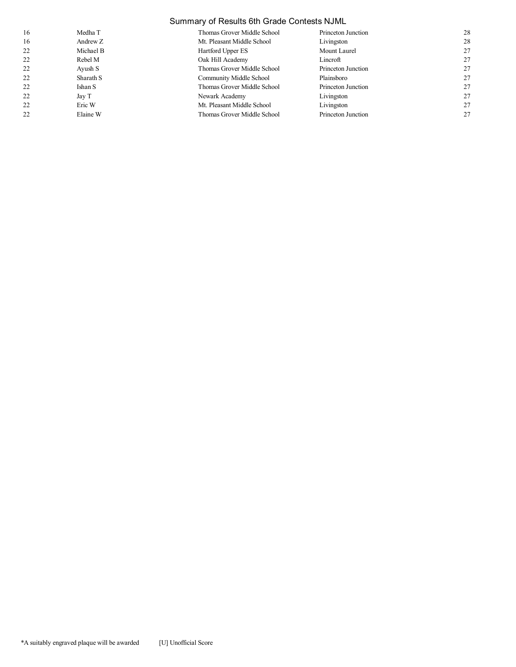|    | Summary of Results 6th Grade Contests NJML |                             |                    |    |  |
|----|--------------------------------------------|-----------------------------|--------------------|----|--|
| 16 | Medha T                                    | Thomas Grover Middle School | Princeton Junction | 28 |  |
| 16 | Andrew Z                                   | Mt. Pleasant Middle School  | Livingston         | 28 |  |
| 22 | Michael B                                  | Hartford Upper ES           | Mount Laurel       | 27 |  |
| 22 | Rebel M                                    | Oak Hill Academy            | Lincroft           | 27 |  |
| 22 | Ayush S                                    | Thomas Grover Middle School | Princeton Junction | 27 |  |
| 22 | Sharath S                                  | Community Middle School     | Plainsboro         | 27 |  |
| 22 | Ishan S                                    | Thomas Grover Middle School | Princeton Junction | 27 |  |
| 22 | Jay T                                      | Newark Academy              | Livingston         | 27 |  |
| 22 | Eric W                                     | Mt. Pleasant Middle School  | Livingston         | 27 |  |
| 22 | Elaine W                                   | Thomas Grover Middle School | Princeton Junction | 27 |  |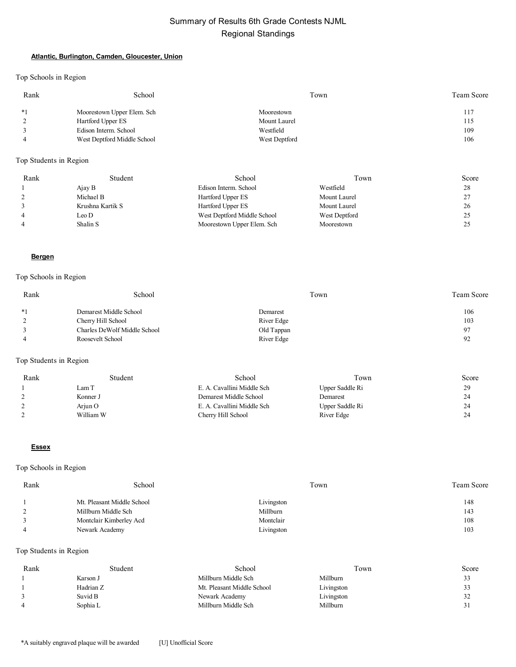#### **Atlantic, Burlington, Camden, Gloucester, Union**

Top Schools in Region

| Rank | School                      | Town          | Team Score |
|------|-----------------------------|---------------|------------|
| $*1$ | Moorestown Upper Elem. Sch  | Moorestown    | 117        |
|      | Hartford Upper ES           | Mount Laurel  | 115        |
|      | Edison Interm. School       | Westfield     | 109        |
|      | West Deptford Middle School | West Deptford | 106        |

## Top Students in Region

| Rank           | Student          | School                      | Town          | Score |
|----------------|------------------|-----------------------------|---------------|-------|
|                | Ajay B           | Edison Interm. School       | Westfield     | 28    |
|                | Michael B        | Hartford Upper ES           | Mount Laurel  | 27    |
|                | Krushna Kartik S | Hartford Upper ES           | Mount Laurel  | 26    |
| $\overline{4}$ | Leo D            | West Deptford Middle School | West Deptford | ن ک   |
| $\overline{4}$ | Shalin S         | Moorestown Upper Elem. Sch  | Moorestown    |       |

#### **Bergen**

#### Top Schools in Region

| Rank     | School                       | Town       | Team Score |
|----------|------------------------------|------------|------------|
| $*1$     | Demarest Middle School       | Demarest   | 106        |
| $\gamma$ | Cherry Hill School           | River Edge | 103        |
|          | Charles DeWolf Middle School | Old Tappan | 97         |
|          | Roosevelt School             | River Edge | 92         |

## Top Students in Region

| Rank | Student   | School                     | Town            | Score |
|------|-----------|----------------------------|-----------------|-------|
|      | Lam T     | E. A. Cavallini Middle Sch | Upper Saddle Ri | 29    |
|      | Konner J  | Demarest Middle School     | Demarest        | 24    |
|      | Ariun O   | E. A. Cavallini Middle Sch | Upper Saddle Ri | 24    |
|      | William W | Cherry Hill School         | River Edge      | 24    |

#### **Essex**

## Top Schools in Region

| Rank | School                     | Town       | <b>Team Score</b> |
|------|----------------------------|------------|-------------------|
|      | Mt. Pleasant Middle School | Livingston | 148               |
|      | Millburn Middle Sch        | Millburn   | 143               |
|      | Montclair Kimberley Acd    | Montclair  | 108               |
|      | Newark Academy             | Livingston | 103               |

| Rank | Student   | School                     | Town       | Score  |
|------|-----------|----------------------------|------------|--------|
|      | Karson J  | Millburn Middle Sch        | Millburn   | 33     |
|      | Hadrian Z | Mt. Pleasant Middle School | Livingston | 33     |
|      | Suvid B   | Newark Academy             | Livingston | ے ر    |
| 4    | Sophia L  | Millburn Middle Sch        | Millburn   | $\sim$ |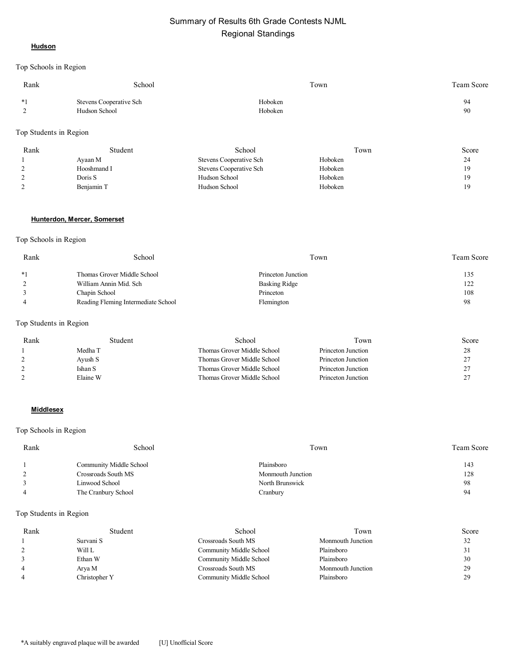#### **Hudson**

Top Schools in Region

| Rank                | School                                   | Town               | <b>Team Score</b> |
|---------------------|------------------------------------------|--------------------|-------------------|
| $*1$<br>$\sim$<br>∸ | Stevens Cooperative Sch<br>Hudson School | Hoboken<br>Hoboken | 94<br>90          |

#### Top Students in Region

| Rank | Student     | School                         | Town    | Score |
|------|-------------|--------------------------------|---------|-------|
|      | Ayaan M     | <b>Stevens Cooperative Sch</b> | Hoboken | 24    |
|      | Hooshmand I | Stevens Cooperative Sch        | Hoboken | 19    |
|      | Doris S     | Hudson School                  | Hoboken | 19    |
|      | Benjamin T  | Hudson School                  | Hoboken | 19    |

#### **Hunterdon, Mercer, Somerset**

#### Top Schools in Region

| Rank | School                              | Town               | Team Score |
|------|-------------------------------------|--------------------|------------|
| $*1$ | Thomas Grover Middle School         | Princeton Junction | 135        |
|      | William Annin Mid. Sch              | Basking Ridge      | 122        |
|      | Chapin School                       | Princeton          | 108        |
|      | Reading Fleming Intermediate School | Flemington         | 98         |

## Top Students in Region

| Rank | Student  | School                      | Town               | Score |
|------|----------|-----------------------------|--------------------|-------|
|      | Medha T  | Thomas Grover Middle School | Princeton Junction |       |
|      | Ayush S  | Thomas Grover Middle School | Princeton Junction |       |
|      | Ishan S  | Thomas Grover Middle School | Princeton Junction |       |
|      | Elaine W | Thomas Grover Middle School | Princeton Junction |       |

#### **Middlesex**

## Top Schools in Region

| Rank | School                  | Town              | Team Score |
|------|-------------------------|-------------------|------------|
|      | Community Middle School | Plainsboro        | 143        |
|      | Crossroads South MS     | Monmouth Junction | 128        |
|      | Linwood School          | North Brunswick   | 98         |
|      | The Cranbury School     | Cranbury          | 94         |

| Rank | Student       | School                  | Town              | Score |
|------|---------------|-------------------------|-------------------|-------|
|      | Survani S     | Crossroads South MS     | Monmouth Junction | 32    |
|      | Will L        | Community Middle School | Plainsboro        | 31    |
|      | Ethan W       | Community Middle School | Plainsboro        | 30    |
|      | Arya M        | Crossroads South MS     | Monmouth Junction | 29    |
|      | Christopher Y | Community Middle School | Plainsboro        | 29    |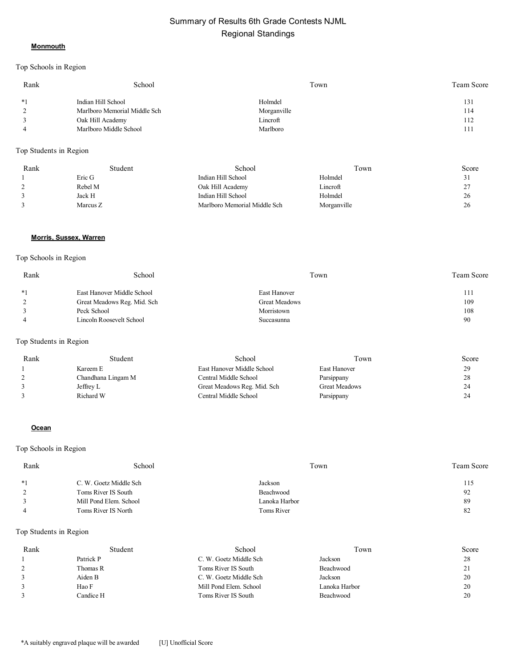#### **Monmouth**

#### Top Schools in Region

| Rank           | School                       | Town        | <b>Team Score</b> |
|----------------|------------------------------|-------------|-------------------|
| $*1$           | Indian Hill School           | Holmdel     | 131               |
| 2              | Marlboro Memorial Middle Sch | Morganville | 114               |
| 3              | Oak Hill Academy             | Lincroft    | 112               |
| $\overline{4}$ | Marlboro Middle School       | Marlboro    | 111               |

#### Top Students in Region

| Rank          | Student  | School                       | Town        | Score   |
|---------------|----------|------------------------------|-------------|---------|
|               | Eric G   | Indian Hill School           | Holmdel     | ر ر     |
| $\mathcal{L}$ | Rebel M  | Oak Hill Academy             | Lincroft    | 27<br>∠ |
|               | Jack H   | Indian Hill School           | Holmdel     | 26      |
|               | Marcus Z | Marlboro Memorial Middle Sch | Morganville | 26      |

#### **Morris, Sussex, Warren**

#### Top Schools in Region

| Rank           | School                      | Town          | <b>Team Score</b> |
|----------------|-----------------------------|---------------|-------------------|
| $*1$           | East Hanover Middle School  | East Hanover  | 111               |
| 2              | Great Meadows Reg. Mid. Sch | Great Meadows | 109               |
|                | Peck School                 | Morristown    | 108               |
| $\overline{4}$ | Lincoln Roosevelt School    | Succasunna    | 90                |

#### Top Students in Region

| Rank | Student            | School                      | Town                 | Score |
|------|--------------------|-----------------------------|----------------------|-------|
|      | Kareem E           | East Hanover Middle School  | East Hanover         | 29    |
|      | Chandhana Lingam M | Central Middle School       | Parsippany           | 28    |
|      | Jeffrey L          | Great Meadows Reg. Mid. Sch | <b>Great Meadows</b> | 24    |
|      | Richard W          | Central Middle School       | Parsippany           | 24    |

#### **Ocean**

#### Top Schools in Region

| Rank | School                 | Town          | Team Score |
|------|------------------------|---------------|------------|
| $*1$ | C. W. Goetz Middle Sch | Jackson       | 115        |
|      | Toms River IS South    | Beachwood     | 92         |
|      | Mill Pond Elem. School | Lanoka Harbor | 89         |
|      | Toms River IS North    | Toms River    | 82         |

| Rank | Student   | School                 | Fown          | Score    |
|------|-----------|------------------------|---------------|----------|
|      | Patrick P | C. W. Goetz Middle Sch | Jackson       | 28       |
|      | Thomas R  | Toms River IS South    | Beachwood     | $\sim$ 1 |
|      | Aiden B   | C. W. Goetz Middle Sch | Jackson       | 20       |
|      | Hao F     | Mill Pond Elem. School | Lanoka Harbor | 20       |
| 3    | Candice H | Toms River IS South    | Beachwood     | 20       |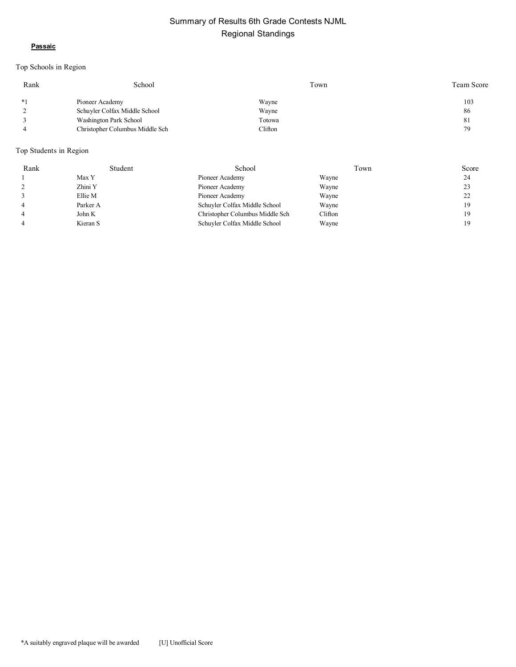#### **Passaic**

## Top Schools in Region

| Rank | School                          | Town    | Team Score |
|------|---------------------------------|---------|------------|
| $*1$ | Pioneer Academy                 | Wayne   | 103        |
|      | Schuyler Colfax Middle School   | Wayne   | 86         |
|      | Washington Park School          | Totowa  | -81        |
|      | Christopher Columbus Middle Sch | Clifton | 79         |

| Rank           | Student  | School                          | Town    | Score |
|----------------|----------|---------------------------------|---------|-------|
|                | Max Y    | Pioneer Academy                 | Wayne   | 24    |
|                | Zhini Y  | Pioneer Academy                 | Wayne   | 23    |
|                | Ellie M  | Pioneer Academy                 | Wayne   | 22    |
| $\overline{4}$ | Parker A | Schuyler Colfax Middle School   | Wayne   | 19    |
| $\overline{4}$ | John K   | Christopher Columbus Middle Sch | Clifton | 19    |
| 4              | Kieran S | Schuyler Colfax Middle School   | Wayne   | 1 S   |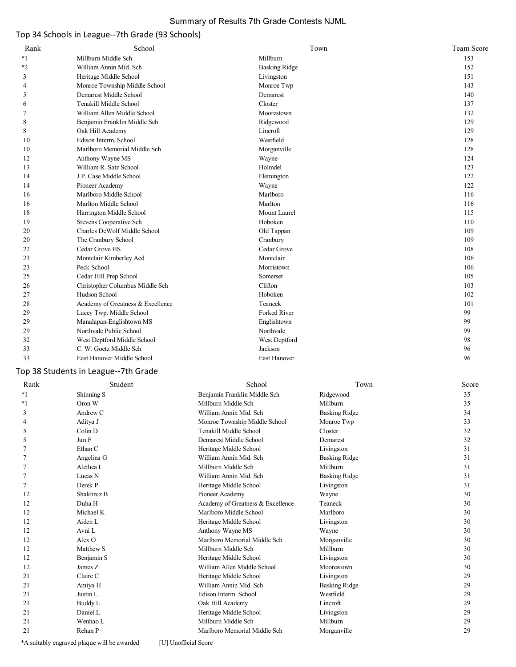## Summary of Results 7th Grade Contests NJML

## Top 34 Schools in League--7th Grade (93 Schools)

| Rank           | School                               |                              | Town      | Team Score       |
|----------------|--------------------------------------|------------------------------|-----------|------------------|
| $*_{1}$        | Millburn Middle Sch                  | Millburn                     |           | 153              |
| *2             | William Annin Mid. Sch               | <b>Basking Ridge</b>         |           | 152              |
| 3              | Heritage Middle School               | Livingston                   |           | 151              |
| $\overline{4}$ | Monroe Township Middle School        | Monroe Twp                   |           | 143              |
| 5              | Demarest Middle School               | Demarest                     |           | 140              |
| 6              | Tenakill Middle School               | Closter                      |           | 137              |
| 7              | William Allen Middle School          | Moorestown                   |           | 132              |
| 8              | Benjamin Franklin Middle Sch         | Ridgewood                    |           | 129              |
| 8              | Oak Hill Academy                     | Lincroft                     |           | 129              |
| 10             | Edison Interm. School                | Westfield                    |           | 128              |
| 10             | Marlboro Memorial Middle Sch         | Morganville                  |           | 128              |
| 12             | Anthony Wayne MS                     | Wayne                        |           | 124              |
| 13             | William R. Satz School               | Holmdel                      |           | 123              |
| 14             | J.P. Case Middle School              | Flemington                   |           | 122              |
| 14             | Pioneer Academy                      | Wayne                        |           | 122              |
| 16             | Marlboro Middle School               | Marlboro                     |           | 116              |
| 16             | Marlton Middle School                | Marlton                      |           | 116              |
| 18             | Harrington Middle School             | Mount Laurel                 |           | 115              |
| 19             | Stevens Cooperative Sch              | Hoboken                      |           | 110              |
| 20             | Charles DeWolf Middle School         | Old Tappan                   |           | 109              |
| 20             | The Cranbury School                  | Cranbury                     |           | 109              |
| 22             | Cedar Grove HS                       | Cedar Grove                  |           | 108              |
| 23             | Montclair Kimberley Acd              | Montclair                    |           | 106              |
| 23             | Peck School                          | Morristown                   |           | 106              |
| 25             | Cedar Hill Prep School               | Somerset                     |           | 105              |
| 26             | Christopher Columbus Middle Sch      | Clifton                      |           | 103              |
| 27             | Hudson School                        | Hoboken                      |           | 102              |
| 28             | Academy of Greatness & Excellence    | Teaneck                      |           | 101              |
| 29             | Lacey Twp. Middle School             | Forked River                 |           | 99               |
| 29             | Manalapan-Englishtown MS             | Englishtown                  |           | 99               |
| 29             | Northvale Public School              | Northvale                    |           | 99               |
| 32             | West Deptford Middle School          | West Deptford                |           | 98               |
| 33             | C. W. Goetz Middle Sch               | Jackson                      |           | 96               |
| 33             | East Hanover Middle School           | East Hanover                 |           | 96               |
|                | Top 38 Students in League--7th Grade |                              |           |                  |
| Rank           | Student                              | School                       | Town      | Score            |
| $*_{1}$        | Shinning S                           | Benjamin Franklin Middle Sch | Ridgewood | 35               |
| $*1$           | Oron W                               | Millburn Middle Sch          | Millburn  | 35               |
|                | $\lambda = 1$<br>$\sim$              |                              | $P = 11$  | $\sim$ $\lambda$ |

| $*_{1}$ | Shinning S | Benjamin Franklin Middle Sch      | Ridgewood            | 35 |
|---------|------------|-----------------------------------|----------------------|----|
| $*1$    | Oron W     | Millburn Middle Sch               | Millburn             | 35 |
| 3       | Andrew C   | William Annin Mid. Sch            | Basking Ridge        | 34 |
| 4       | Aditya J   | Monroe Township Middle School     | Monroe Twp           | 33 |
| 5       | Colin D    | Tenakill Middle School            | Closter              | 32 |
| 5       | Jun F      | Demarest Middle School            | Demarest             | 32 |
|         | Ethan C    | Heritage Middle School            | Livingston           | 31 |
|         | Angelina G | William Annin Mid. Sch            | <b>Basking Ridge</b> | 31 |
|         | Alethea L  | Millburn Middle Sch               | Millburn             | 31 |
|         | Lucas N    | William Annin Mid. Sch            | Basking Ridge        | 31 |
|         | Derek P    | Heritage Middle School            | Livingston           | 31 |
| 12      | Shakhruz B | Pioneer Academy                   | Wayne                | 30 |
| 12      | Duha H     | Academy of Greatness & Excellence | Teaneck              | 30 |
| 12      | Michael K  | Marlboro Middle School            | Marlboro             | 30 |
| 12      | Aiden L    | Heritage Middle School            | Livingston           | 30 |
| 12      | Avni L     | Anthony Wayne MS                  | Wayne                | 30 |
| 12      | Alex O     | Marlboro Memorial Middle Sch      | Morganville          | 30 |
| 12      | Matthew S  | Millburn Middle Sch               | Millburn             | 30 |
| 12      | Benjamin S | Heritage Middle School            | Livingston           | 30 |
| 12      | James Z    | William Allen Middle School       | Moorestown           | 30 |
| 21      | Claire C   | Heritage Middle School            | Livingston           | 29 |
| 21      | Amiya H    | William Annin Mid. Sch            | Basking Ridge        | 29 |
| 21      | Justin L   | Edison Interm. School             | Westfield            | 29 |
| 21      | Buddy L    | Oak Hill Academy                  | Lincroft             | 29 |
| 21      | Daniel L   | Heritage Middle School            | Livingston           | 29 |
| 21      | Wenhao L   | Millburn Middle Sch               | Millburn             | 29 |
| 21      | Rehan P    | Marlboro Memorial Middle Sch      | Morganville          | 29 |
|         |            |                                   |                      |    |

\*A suitably engraved plaque will be awarded [U] Unofficial Score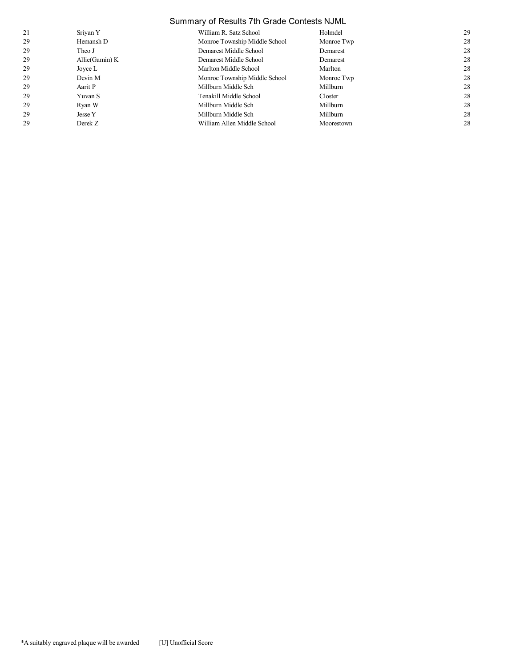## Summary of Results 7th Grade Contests NJML

| 21 | Sriyan Y       | William R. Satz School        | Holmdel    | 29 |
|----|----------------|-------------------------------|------------|----|
| 29 | Hemansh D      | Monroe Township Middle School | Monroe Twp | 28 |
| 29 | Theo J         | Demarest Middle School        | Demarest   | 28 |
| 29 | Allie(Gamin) K | Demarest Middle School        | Demarest   | 28 |
| 29 | Joyce L        | Marlton Middle School         | Marlton    | 28 |
| 29 | Devin M        | Monroe Township Middle School | Monroe Twp | 28 |
| 29 | Aarit P        | Millburn Middle Sch           | Millburn   | 28 |
| 29 | Yuvan S        | Tenakill Middle School        | Closter    | 28 |
| 29 | Ryan W         | Millburn Middle Sch           | Millburn   | 28 |
| 29 | Jesse Y        | Millburn Middle Sch           | Millburn   | 28 |
| 29 | Derek Z        | William Allen Middle School   | Moorestown | 28 |
|    |                |                               |            |    |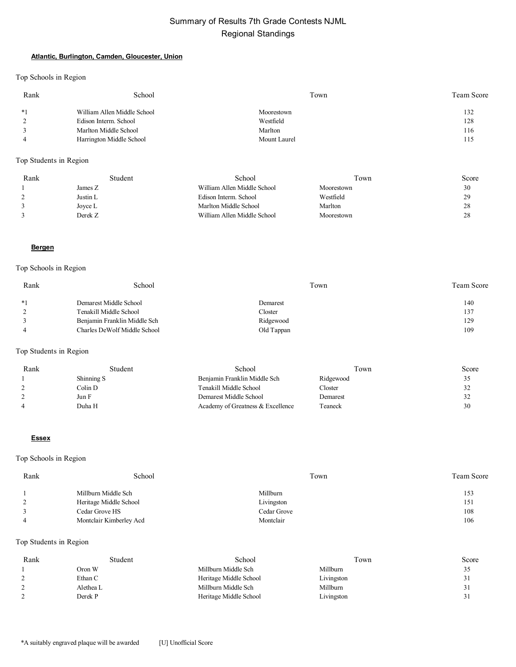#### **Atlantic, Burlington, Camden, Gloucester, Union**

Top Schools in Region

| Rank | School                      | Town         | Team Score |
|------|-----------------------------|--------------|------------|
| $*1$ | William Allen Middle School | Moorestown   | 132        |
|      | Edison Interm. School       | Westfield    | 128        |
|      | Marlton Middle School       | Marlton      | 116        |
|      | Harrington Middle School    | Mount Laurel | 115        |

## Top Students in Region

| Rank | Student  | School                      | Town       | Score |
|------|----------|-----------------------------|------------|-------|
|      | James Z  | William Allen Middle School | Moorestown | 30    |
|      | Justin L | Edison Interm. School       | Westfield  | 29    |
|      | Joyce L  | Marlton Middle School       | Marlton    | 28    |
|      | Derek Z  | William Allen Middle School | Moorestown | 28    |

#### **Bergen**

#### Top Schools in Region

| Rank | School                       | Town       | Team Score |
|------|------------------------------|------------|------------|
| $*1$ | Demarest Middle School       | Demarest   | 140        |
| 2    | Tenakill Middle School       | Closter    | 137        |
| 3    | Benjamin Franklin Middle Sch | Ridgewood  | 129        |
|      | Charles DeWolf Middle School | Old Tappan | 109        |

#### Top Students in Region

| Rank          | Student    | School                            | Town      | Score |
|---------------|------------|-----------------------------------|-----------|-------|
|               | Shinning S | Benjamin Franklin Middle Sch      | Ridgewood | 35    |
| $\mathcal{L}$ | Colin D    | Tenakill Middle School            | Closter   | 32    |
|               | Jun F      | Demarest Middle School            | Demarest  | 32    |
|               | Duha H     | Academy of Greatness & Excellence | Teaneck   | 30    |

#### **Essex**

#### Top Schools in Region

| Rank | School                  | Town        | <b>Team Score</b> |
|------|-------------------------|-------------|-------------------|
|      | Millburn Middle Sch     | Millburn    | 153               |
|      | Heritage Middle School  | Livingston  | 151               |
|      | Cedar Grove HS          | Cedar Grove | 108               |
|      | Montclair Kimberley Acd | Montclair   | 106               |

| Rank | Student   | School                 | Town       | Score        |
|------|-----------|------------------------|------------|--------------|
|      | Oron W    | Millburn Middle Sch    | Millburn   | ້∼           |
|      | Ethan C   | Heritage Middle School | Livingston | ر ر          |
|      | Alethea L | Millburn Middle Sch    | Millburn   | $\mathbf{I}$ |
|      | Derek P   | Heritage Middle School | Livingston | ر ر          |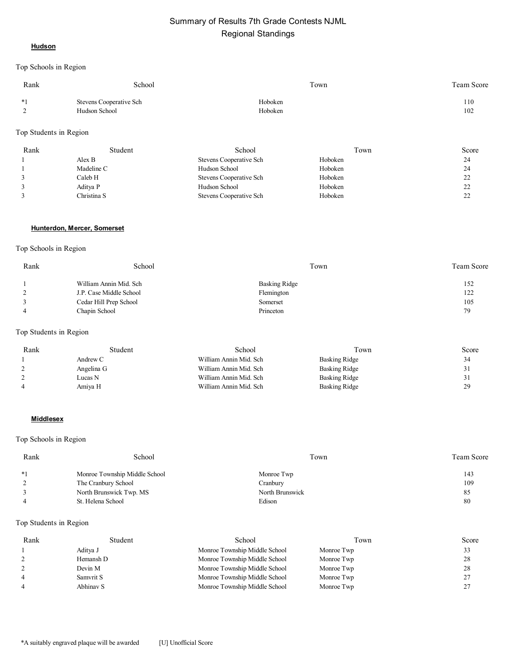#### **Hudson**

Top Schools in Region

| Rank      | School                                   | Town               | <b>Team Score</b> |
|-----------|------------------------------------------|--------------------|-------------------|
| $*1$<br>∸ | Stevens Cooperative Sch<br>Hudson School | Hoboken<br>Hoboken | 110<br>102        |
|           |                                          |                    |                   |

#### Top Students in Region

| Rank | Student     | School                  | Town    | Score    |
|------|-------------|-------------------------|---------|----------|
|      | Alex B      | Stevens Cooperative Sch | Hoboken | 24       |
|      | Madeline C  | Hudson School           | Hoboken | 24       |
|      | Caleb H     | Stevens Cooperative Sch | Hoboken | 22<br>∠∠ |
|      | Aditya P    | Hudson School           | Hoboken | 22       |
|      | Christina S | Stevens Cooperative Sch | Hoboken | 22<br>∠∠ |

#### **Hunterdon, Mercer, Somerset**

#### Top Schools in Region

| Rank | School                  | Town          | Team Score |
|------|-------------------------|---------------|------------|
|      | William Annin Mid. Sch  | Basking Ridge | 152        |
|      | J.P. Case Middle School | Flemington    | 122        |
|      | Cedar Hill Prep School  | Somerset      | 105        |
|      | Chapin School           | Princeton     | 79         |

#### Top Students in Region

| Rank | Student    | School                 | Town                 | Score |
|------|------------|------------------------|----------------------|-------|
|      | Andrew C   | William Annin Mid. Sch | Basking Ridge        | 34    |
|      | Angelina G | William Annin Mid. Sch | <b>Basking Ridge</b> | 31    |
|      | Lucas N    | William Annin Mid. Sch | Basking Ridge        | 31    |
|      | Amiya H    | William Annin Mid. Sch | Basking Ridge        | 29    |

#### **Middlesex**

#### Top Schools in Region

| Rank | School                        | Town            | Team Score |
|------|-------------------------------|-----------------|------------|
| $*1$ | Monroe Township Middle School | Monroe Twp      | 143        |
|      | The Cranbury School           | Cranbury        | 109        |
|      | North Brunswick Twp. MS       | North Brunswick | 85         |
|      | St. Helena School             | Edison          | 80         |

| Rank           | Student   | School                        | Town       | Score    |
|----------------|-----------|-------------------------------|------------|----------|
|                | Aditva J  | Monroe Township Middle School | Monroe Twp |          |
|                | Hemansh D | Monroe Township Middle School | Monroe Twp | 28       |
|                | Devin M   | Monroe Township Middle School | Monroe Twp | 28       |
| $\overline{4}$ | Samvrit S | Monroe Township Middle School | Monroe Twp | ∠        |
|                | Abhinav S | Monroe Township Middle School | Monroe Twp | <u>_</u> |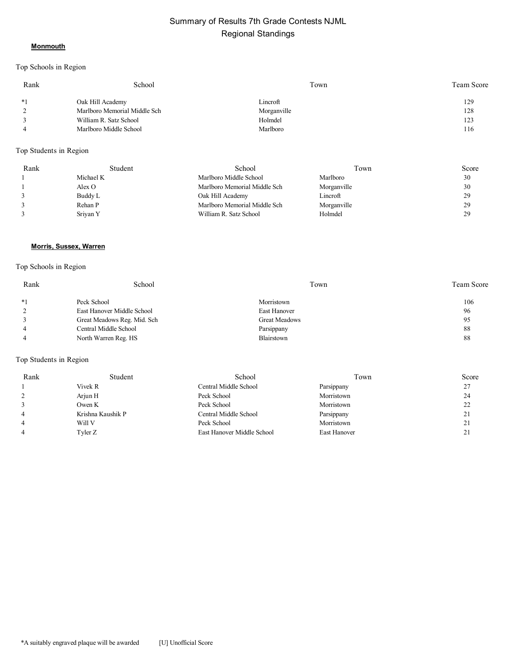#### **Monmouth**

## Top Schools in Region

| Rank | School                       | Town        | Team Score |
|------|------------------------------|-------------|------------|
| $*1$ | Oak Hill Academy             | Lincroft    | 129        |
|      | Marlboro Memorial Middle Sch | Morganville | 128        |
|      | William R. Satz School       | Holmdel     | 123        |
|      | Marlboro Middle School       | Marlboro    | 116        |

#### Top Students in Region

| Rank | Student   | School                       | ľown        | Score |
|------|-----------|------------------------------|-------------|-------|
|      | Michael K | Marlboro Middle School       | Marlboro    | 30    |
|      | Alex O    | Marlboro Memorial Middle Sch | Morganville | 30    |
|      | Buddy L   | Oak Hill Academy             | Lincroft    | 29    |
|      | Rehan P   | Marlboro Memorial Middle Sch | Morganville | 29    |
|      | Sriyan Y  | William R. Satz School       | Holmdel     | 29    |

#### **Morris, Sussex, Warren**

## Top Schools in Region

| Rank | School                      | Town          | <b>Team Score</b> |
|------|-----------------------------|---------------|-------------------|
| $*1$ | Peck School                 | Morristown    | 106               |
|      | East Hanover Middle School  | East Hanover  | 96                |
|      | Great Meadows Reg. Mid. Sch | Great Meadows | 95                |
|      | Central Middle School       | Parsippany    | 88                |
|      | North Warren Reg. HS        | Blairstown    | 88                |

| Rank | Student           | School                     | Town         | Score |
|------|-------------------|----------------------------|--------------|-------|
|      | Vivek R           | Central Middle School      | Parsippany   | 27    |
|      | Arjun H           | Peck School                | Morristown   | 24    |
|      | Owen K            | Peck School                | Morristown   | 22    |
|      | Krishna Kaushik P | Central Middle School      | Parsippany   | 21    |
|      | Will V            | Peck School                | Morristown   | 21    |
|      | Tyler Z           | East Hanover Middle School | East Hanover | 21    |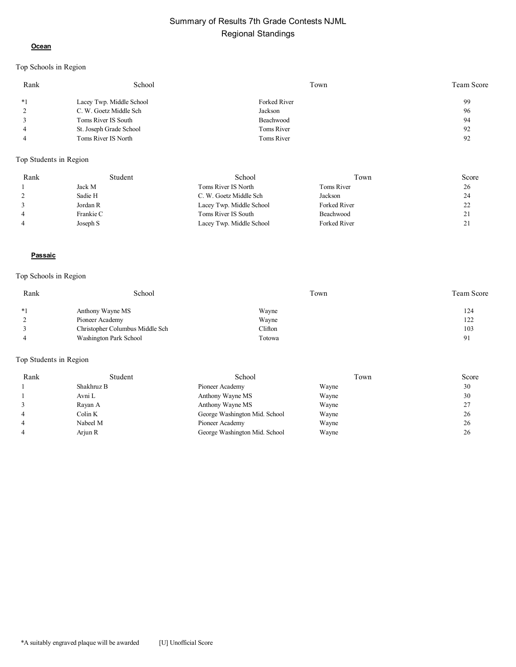#### **Ocean**

## Top Schools in Region

| Rank           | School                   | Town         | <b>Team Score</b> |
|----------------|--------------------------|--------------|-------------------|
| $*1$           | Lacey Twp. Middle School | Forked River | 99                |
| 2              | C. W. Goetz Middle Sch   | Jackson      | 96                |
|                | Toms River IS South      | Beachwood    | 94                |
| $\overline{4}$ | St. Joseph Grade School  | Toms River   | 92                |
|                | Toms River IS North      | Toms River   | 92                |
|                |                          |              |                   |

## Top Students in Region

| Rank           | Student   | School                   | Town         | Score   |
|----------------|-----------|--------------------------|--------------|---------|
|                | Jack M    | Toms River IS North      | Toms River   | 26      |
|                | Sadie H   | C. W. Goetz Middle Sch   | Jackson      | 24      |
|                | Jordan R  | Lacey Twp. Middle School | Forked River | າາ<br>∸ |
| 4              | Frankie C | Toms River IS South      | Beachwood    | 21      |
| $\overline{4}$ | Joseph S  | Lacey Twp. Middle School | Forked River | 21<br>4 |

#### **Passaic**

## Top Schools in Region

| Rank | School                          | Town    | <b>Team Score</b> |
|------|---------------------------------|---------|-------------------|
| $*1$ | Anthony Wayne MS                | Wayne   | 124               |
|      | Pioneer Academy                 | Wayne   | 122               |
|      | Christopher Columbus Middle Sch | Cliffon | 103               |
|      | Washington Park School          | Totowa  | 91                |

| Rank | Student    | School                        | Town  | Score |
|------|------------|-------------------------------|-------|-------|
|      | Shakhruz B | Pioneer Academy               | Wayne | 30    |
|      | Avni L     | Anthony Wayne MS              | Wayne | 30    |
|      | Rayan A    | Anthony Wayne MS              | Wayne | 27    |
|      | Colin K    | George Washington Mid. School | Wayne | 26    |
|      | Nabeel M   | Pioneer Academy               | Wayne | 26    |
|      | Arjun R    | George Washington Mid. School | Wayne | 26    |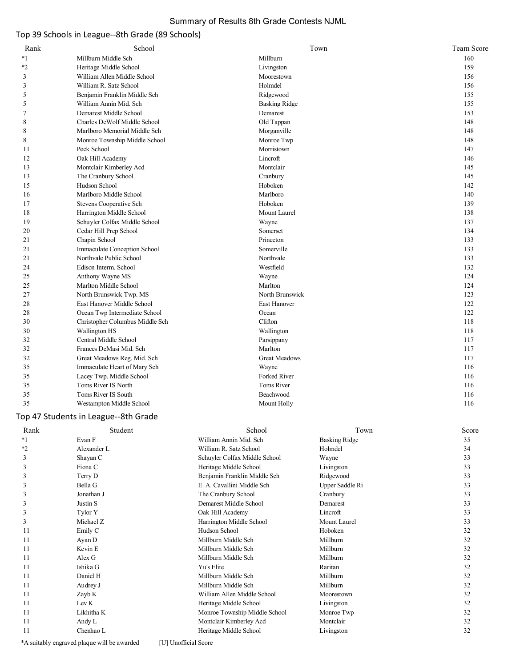## Summary of Results 8th Grade Contests NJML

## Top 39 Schools in League--8th Grade (89 Schools)

| Rank | School                          | Town                 | Team Score |
|------|---------------------------------|----------------------|------------|
| $*1$ | Millburn Middle Sch             | Millburn             | 160        |
| *2   | Heritage Middle School          | Livingston           | 159        |
| 3    | William Allen Middle School     | Moorestown           | 156        |
| 3    | William R. Satz School          | Holmdel              | 156        |
| 5    | Benjamin Franklin Middle Sch    | Ridgewood            | 155        |
| 5    | William Annin Mid. Sch          | <b>Basking Ridge</b> | 155        |
| 7    | Demarest Middle School          | Demarest             | 153        |
| 8    | Charles DeWolf Middle School    | Old Tappan           | 148        |
| 8    | Marlboro Memorial Middle Sch    | Morganville          | 148        |
| 8    | Monroe Township Middle School   | Monroe Twp           | 148        |
| 11   | Peck School                     | Morristown           | 147        |
| 12   | Oak Hill Academy                | Lincroft             | 146        |
| 13   | Montclair Kimberley Acd         | Montclair            | 145        |
| 13   | The Cranbury School             | Cranbury             | 145        |
| 15   | Hudson School                   | Hoboken              | 142        |
| 16   | Marlboro Middle School          | Marlboro             | 140        |
| 17   | Stevens Cooperative Sch         | Hoboken              | 139        |
| 18   | Harrington Middle School        | Mount Laurel         | 138        |
| 19   | Schuyler Colfax Middle School   | Wayne                | 137        |
| 20   | Cedar Hill Prep School          | Somerset             | 134        |
| 21   | Chapin School                   | Princeton            | 133        |
| 21   | Immaculate Conception School    | Somerville           | 133        |
| 21   | Northvale Public School         | Northvale            | 133        |
| 24   | Edison Interm. School           | Westfield            | 132        |
| 25   | Anthony Wayne MS                | Wayne                | 124        |
| 25   | Marlton Middle School           | Marlton              | 124        |
| 27   | North Brunswick Twp. MS         | North Brunswick      | 123        |
| 28   | East Hanover Middle School      | East Hanover         | 122        |
| 28   | Ocean Twp Intermediate School   | Ocean                | 122        |
| 30   | Christopher Columbus Middle Sch | Clifton              | 118        |
| 30   | Wallington HS                   | Wallington           | 118        |
| 32   | Central Middle School           | Parsippany           | 117        |
| 32   | Frances DeMasi Mid. Sch         | Marlton              | 117        |
| 32   | Great Meadows Reg. Mid. Sch     | <b>Great Meadows</b> | 117        |
| 35   | Immaculate Heart of Mary Sch    | Wayne                | 116        |
| 35   | Lacey Twp. Middle School        | Forked River         | 116        |
| 35   | Toms River IS North             | Toms River           | 116        |
| 35   | Toms River IS South             | Beachwood            | 116        |
| 35   | Westampton Middle School        | Mount Holly          | 116        |
|      |                                 |                      |            |

## Top 47 Students in League--8th Grade

| Rank    | Student     | School                        | Town                 | Score |
|---------|-------------|-------------------------------|----------------------|-------|
| $*1$    | Evan F      | William Annin Mid. Sch        | <b>Basking Ridge</b> | 35    |
| $*_{2}$ | Alexander L | William R. Satz School        | Holmdel              | 34    |
| 3       | Shayan C    | Schuyler Colfax Middle School | Wayne                | 33    |
| 3       | Fiona C     | Heritage Middle School        | Livingston           | 33    |
| 3       | Terry D     | Benjamin Franklin Middle Sch  | Ridgewood            | 33    |
| 3       | Bella G     | E. A. Cavallini Middle Sch    | Upper Saddle Ri      | 33    |
| 3       | Jonathan J  | The Cranbury School           | Cranbury             | 33    |
| 3       | Justin S    | Demarest Middle School        | Demarest             | 33    |
| 3       | Tylor Y     | Oak Hill Academy              | Lincroft             | 33    |
| 3       | Michael Z   | Harrington Middle School      | Mount Laurel         | 33    |
| 11      | Emily C     | Hudson School                 | Hoboken              | 32    |
| 11      | Ayan D      | Millburn Middle Sch           | Millburn             | 32    |
| 11      | Kevin E     | Millburn Middle Sch           | Millburn             | 32    |
| 11      | Alex G      | Millburn Middle Sch           | Millburn             | 32    |
| 11      | Ishika G    | Yu's Elite                    | Raritan              | 32    |
| 11      | Daniel H    | Millburn Middle Sch           | Millburn             | 32    |
| 11      | Audrey J    | Millburn Middle Sch           | Millburn             | 32    |
| 11      | Zayb K      | William Allen Middle School   | Moorestown           | 32    |
| 11      | Lev K       | Heritage Middle School        | Livingston           | 32    |
| 11      | Likhitha K  | Monroe Township Middle School | Monroe Twp           | 32    |
| 11      | Andy L      | Montclair Kimberley Acd       | Montclair            | 32    |
| 11      | Chenhao L   | Heritage Middle School        | Livingston           | 32    |

\*A suitably engraved plaque will be awarded [U] Unofficial Score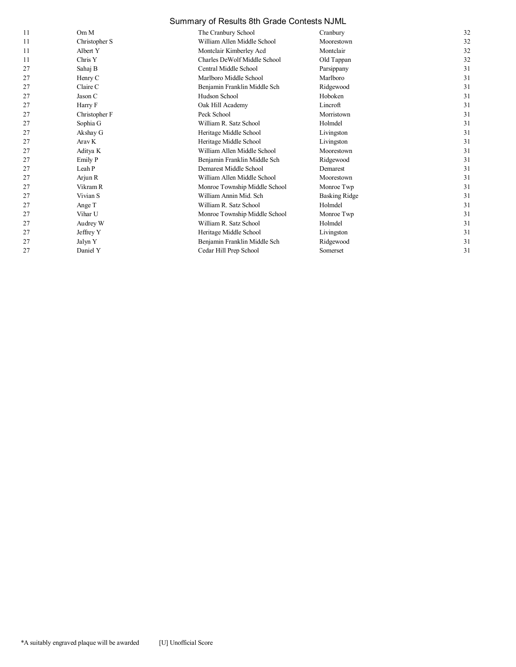## Summary of Results 8th Grade Contests NJML

| 11 | Om M              | The Cranbury School           | Cranbury             | 32 |
|----|-------------------|-------------------------------|----------------------|----|
| 11 | Christopher S     | William Allen Middle School   | Moorestown           | 32 |
| 11 | Albert Y          | Montclair Kimberley Acd       | Montclair            | 32 |
| 11 | Chris Y           | Charles DeWolf Middle School  | Old Tappan           | 32 |
| 27 | Sahaj B           | Central Middle School         | Parsippany           | 31 |
| 27 | Henry C           | Marlboro Middle School        | Marlboro             | 31 |
| 27 | Claire C          | Benjamin Franklin Middle Sch  | Ridgewood            | 31 |
| 27 | Jason C           | Hudson School                 | Hoboken              | 31 |
| 27 | Harry F           | Oak Hill Academy              | Lincroft             | 31 |
| 27 | Christopher F     | Peck School                   | Morristown           | 31 |
| 27 | Sophia G          | William R. Satz School        | Holmdel              | 31 |
| 27 | Akshay G          | Heritage Middle School        | Livingston           | 31 |
| 27 | Arav <sub>K</sub> | Heritage Middle School        | Livingston           | 31 |
| 27 | Aditya K          | William Allen Middle School   | Moorestown           | 31 |
| 27 | Emily P           | Benjamin Franklin Middle Sch  | Ridgewood            | 31 |
| 27 | Leah P            | Demarest Middle School        | Demarest             | 31 |
| 27 | Arjun R           | William Allen Middle School   | Moorestown           | 31 |
| 27 | Vikram R          | Monroe Township Middle School | Monroe Twp           | 31 |
| 27 | Vivian S          | William Annin Mid. Sch        | <b>Basking Ridge</b> | 31 |
| 27 | Ange T            | William R. Satz School        | Holmdel              | 31 |
| 27 | Vihar U           | Monroe Township Middle School | Monroe Twp           | 31 |
| 27 | Audrey W          | William R. Satz School        | Holmdel              | 31 |
| 27 | Jeffrey Y         | Heritage Middle School        | Livingston           | 31 |
| 27 | Jalyn Y           | Benjamin Franklin Middle Sch  | Ridgewood            | 31 |
| 27 | Daniel Y          | Cedar Hill Prep School        | Somerset             | 31 |
|    |                   |                               |                      |    |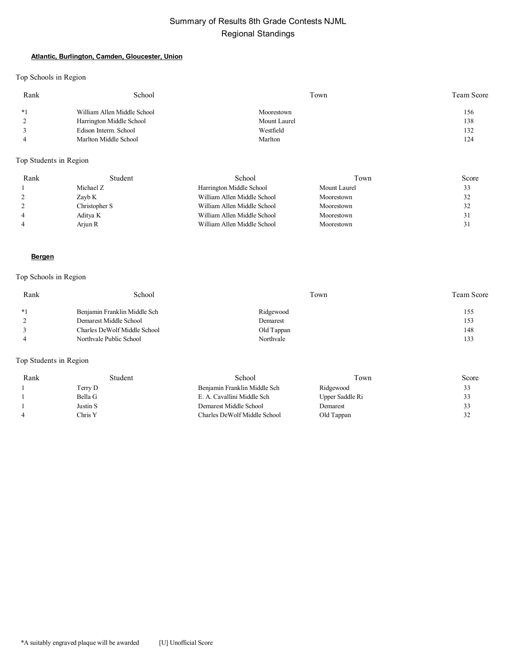#### **Atlantic, Burlington, Camden, Gloucester, Union**

Top Schools in Region

| Rank | School                      | Town         | Team Score |
|------|-----------------------------|--------------|------------|
| $*1$ | William Allen Middle School | Moorestown   | 156        |
|      | Harrington Middle School    | Mount Laurel | 138        |
|      | Edison Interm. School       | Westfield    | 132        |
|      | Marlton Middle School       | Marlton      | 124        |

## Top Students in Region

| Rank           | Student       | School                      | Town         | Score |
|----------------|---------------|-----------------------------|--------------|-------|
|                | Michael Z     | Harrington Middle School    | Mount Laurel | 33    |
|                | Zayb K        | William Allen Middle School | Moorestown   | 32    |
|                | Christopher S | William Allen Middle School | Moorestown   | 32    |
| $\overline{4}$ | Aditya K      | William Allen Middle School | Moorestown   | 3.    |
| $\overline{4}$ | Arjun R       | William Allen Middle School | Moorestown   | 31    |

#### **Bergen**

## Top Schools in Region

| Rank | School                       | Town       | <b>Team Score</b> |
|------|------------------------------|------------|-------------------|
| $*1$ | Benjamin Franklin Middle Sch | Ridgewood  | 155               |
|      | Demarest Middle School       | Demarest   | 153               |
|      | Charles DeWolf Middle School | Old Tappan | 148               |
|      | Northvale Public School      | Northvale  | 133               |

| Rank | Student  | School                       | Town            | Score |
|------|----------|------------------------------|-----------------|-------|
|      | Terry D  | Benjamin Franklin Middle Sch | Ridgewood       | 33    |
|      | Bella G  | E. A. Cavallini Middle Sch   | Upper Saddle Ri | 33    |
|      | Justin S | Demarest Middle School       | Demarest        | 33    |
| 4    | Chris Y  | Charles DeWolf Middle School | Old Tappan      | 32    |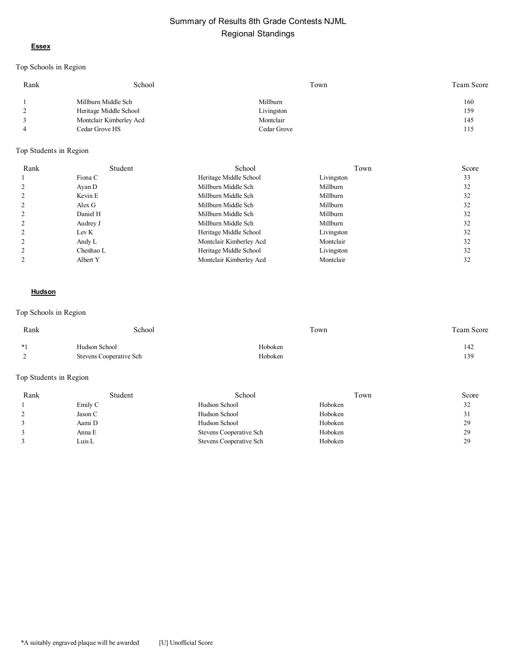#### **Essex**

## Top Schools in Region

| Rank           | School                  | Town        | Team Score |
|----------------|-------------------------|-------------|------------|
|                | Millburn Middle Sch     | Millburn    | 160        |
| 2              | Heritage Middle School  | Livingston  | 159        |
| 3              | Montclair Kimberley Acd | Montclair   | 145        |
| $\overline{4}$ | Cedar Grove HS          | Cedar Grove | 115        |

#### Top Students in Region

| Rank | Student   | School                  | Town       | Score |
|------|-----------|-------------------------|------------|-------|
|      | Fiona C   | Heritage Middle School  | Livingston | 33    |
|      | Ayan D    | Millburn Middle Sch     | Millburn   | 32    |
|      | Kevin E   | Millburn Middle Sch     | Millburn   | 32    |
|      | Alex G    | Millburn Middle Sch     | Millburn   | 32    |
|      | Daniel H  | Millburn Middle Sch     | Millburn   | 32    |
|      | Audrey J  | Millburn Middle Sch     | Millburn   | 32    |
|      | Lev K     | Heritage Middle School  | Livingston | 32    |
|      | Andy L    | Montclair Kimberley Acd | Montclair  | 32    |
|      | Chenhao L | Heritage Middle School  | Livingston | 32    |
|      | Albert Y  | Montclair Kimberley Acd | Montclair  | 32    |

#### **Hudson**

#### Top Schools in Region

| Rank | School                  | Town    | Team Score |
|------|-------------------------|---------|------------|
| $*1$ | Hudson School           | Hoboken | 142        |
| -    | Stevens Cooperative Sch | Hoboken | 139        |
|      |                         |         |            |

| Rank | Student | School                  | Town    | Score |
|------|---------|-------------------------|---------|-------|
|      | Emily C | Hudson School           | Hoboken | 32    |
|      | Jason C | Hudson School           | Hoboken | 31    |
|      | Aami D  | Hudson School           | Hoboken | 29    |
|      | Anna E  | Stevens Cooperative Sch | Hoboken | 29    |
|      | Luis L  | Stevens Cooperative Sch | Hoboken | 29    |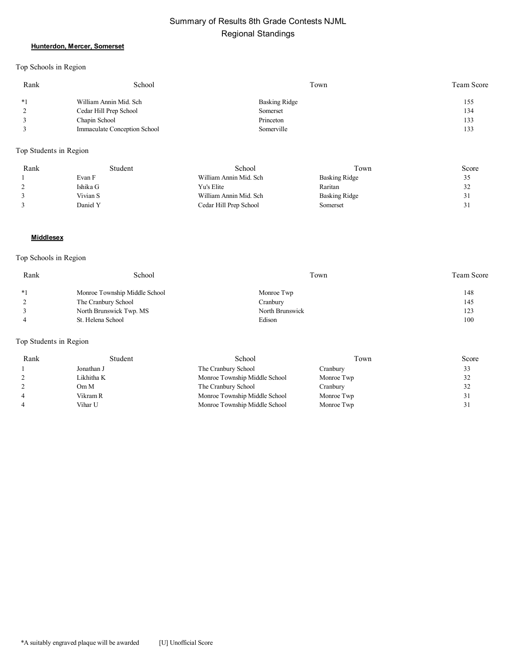#### **Hunterdon, Mercer, Somerset**

Top Schools in Region

| Rank | School                       | Town          | <b>Team Score</b> |
|------|------------------------------|---------------|-------------------|
| $*1$ | William Annin Mid. Sch       | Basking Ridge | 155               |
|      | Cedar Hill Prep School       | Somerset      | 134               |
|      | Chapin School                | Princeton     | 133               |
|      | Immaculate Conception School | Somerville    | 133               |

Top Students in Region

| Rank | Student  | School                 | Town                 | Score |
|------|----------|------------------------|----------------------|-------|
|      | Evan F   | William Annin Mid. Sch | <b>Basking Ridge</b> | ر ر   |
|      | Ishika G | Yu's Elite             | Raritan              | 32    |
|      | Vivian S | William Annin Mid. Sch | Basking Ridge        | 31    |
|      | Daniel Y | Cedar Hill Prep School | Somerset             | 31    |

#### **Middlesex**

## Top Schools in Region

| Rank | School                        | Town            | <b>Team Score</b> |
|------|-------------------------------|-----------------|-------------------|
| $*1$ | Monroe Township Middle School | Monroe Twp      | 148               |
|      | The Cranbury School           | Cranbury        | 145               |
|      | North Brunswick Twp. MS       | North Brunswick | 123               |
|      | St. Helena School             | Edison          | 100               |

| Rank | Student    | School                        | Town       | Score |
|------|------------|-------------------------------|------------|-------|
|      | Jonathan J | The Cranbury School           | Cranbury   |       |
|      | Likhitha K | Monroe Township Middle School | Monroe Twp |       |
|      | Om M       | The Cranbury School           | Cranbury   |       |
|      | Vikram R   | Monroe Township Middle School | Monroe Twp |       |
|      | Vihar U    | Monroe Township Middle School | Monroe Twp |       |
|      |            |                               |            |       |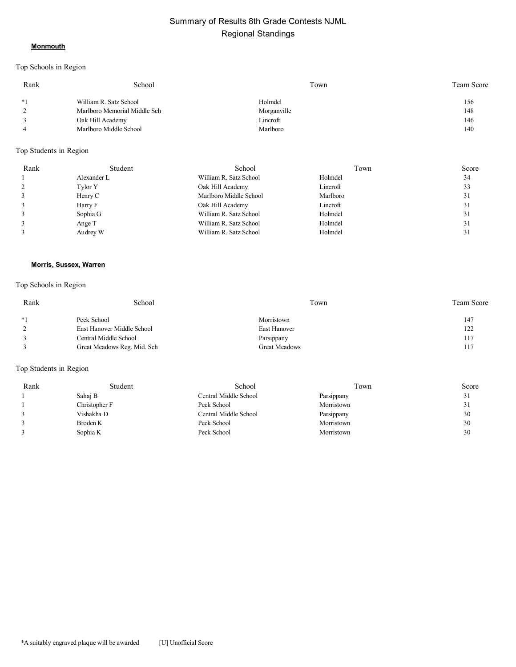#### **Monmouth**

## Top Schools in Region

| Rank | School                       | Town        | Team Score |
|------|------------------------------|-------------|------------|
| $*1$ | William R. Satz School       | Holmdel     | 156        |
|      | Marlboro Memorial Middle Sch | Morganville | 148        |
|      | Oak Hill Academy             | Lincroft    | 146        |
|      | Marlboro Middle School       | Marlboro    | 140        |

#### Top Students in Region

| Rank | Student     | School                 | Town     | Score |
|------|-------------|------------------------|----------|-------|
|      | Alexander L | William R. Satz School | Holmdel  | 34    |
|      | Tylor Y     | Oak Hill Academy       | Lincroft | 33    |
|      | Henry C     | Marlboro Middle School | Marlboro | 31    |
|      | Harry F     | Oak Hill Academy       | Lincroft | 31    |
|      | Sophia G    | William R. Satz School | Holmdel  | 31    |
|      | Ange T      | William R. Satz School | Holmdel  | 31    |
|      | Audrey W    | William R. Satz School | Holmdel  | 31    |

#### **Morris, Sussex, Warren**

## Top Schools in Region

| Rank | School                      | Town                 | Team Score |
|------|-----------------------------|----------------------|------------|
| $*1$ | Peck School                 | Morristown           | 147        |
|      | East Hanover Middle School  | East Hanover         | 122        |
|      | Central Middle School       | Parsippany           | 117        |
|      | Great Meadows Reg. Mid. Sch | <b>Great Meadows</b> | 117        |

| Rank | Student       | School                | Fown       | Score |
|------|---------------|-----------------------|------------|-------|
|      | Sahaj B       | Central Middle School | Parsippany | 31    |
|      | Christopher F | Peck School           | Morristown | 31    |
|      | Vishakha D    | Central Middle School | Parsippany | 30    |
|      | Broden K      | Peck School           | Morristown | 30    |
|      | Sophia K      | Peck School           | Morristown | 30    |